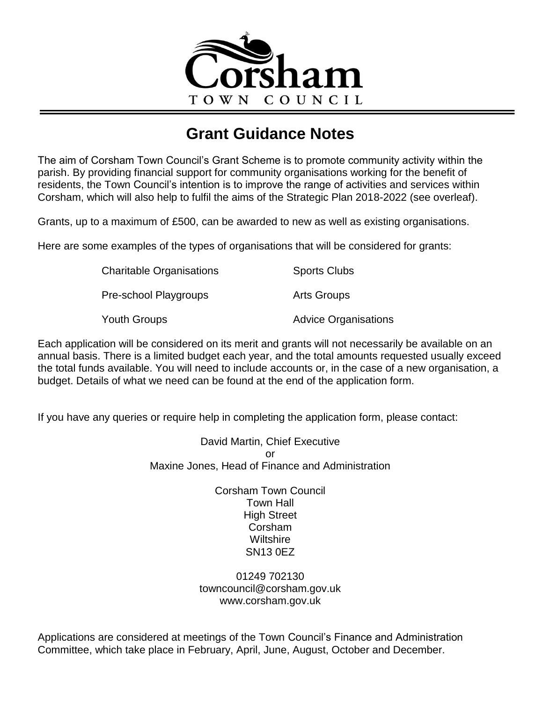

# **Grant Guidance Notes**

The aim of Corsham Town Council's Grant Scheme is to promote community activity within the parish. By providing financial support for community organisations working for the benefit of residents, the Town Council's intention is to improve the range of activities and services within Corsham, which will also help to fulfil the aims of the Strategic Plan 2018-2022 (see overleaf).

Grants, up to a maximum of £500, can be awarded to new as well as existing organisations.

Here are some examples of the types of organisations that will be considered for grants:

| <b>Charitable Organisations</b> | <b>Sports Clubs</b>         |
|---------------------------------|-----------------------------|
| Pre-school Playgroups           | Arts Groups                 |
| Youth Groups                    | <b>Advice Organisations</b> |

Each application will be considered on its merit and grants will not necessarily be available on an annual basis. There is a limited budget each year, and the total amounts requested usually exceed the total funds available. You will need to include accounts or, in the case of a new organisation, a budget. Details of what we need can be found at the end of the application form.

If you have any queries or require help in completing the application form, please contact:

David Martin, Chief Executive or Maxine Jones, Head of Finance and Administration

> Corsham Town Council Town Hall High Street Corsham **Wiltshire** SN13 0EZ

01249 702130 towncouncil@corsham.gov.uk www.corsham.gov.uk

Applications are considered at meetings of the Town Council's Finance and Administration Committee, which take place in February, April, June, August, October and December.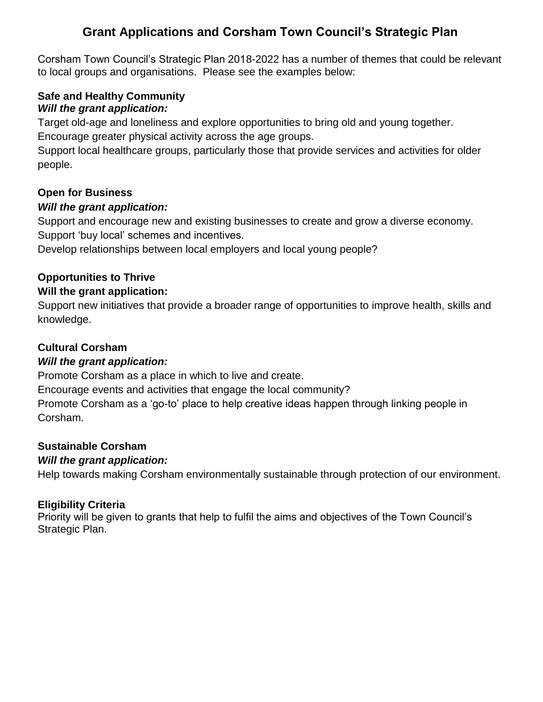# **Grant Applications and Corsham Town Council's Strategic Plan**

Corsham Town Council's Strategic Plan 2018-2022 has a number of themes that could be relevant to local groups and organisations. Please see the examples below:

## **Safe and Healthy Community** *Will the grant application:*

Target old-age and loneliness and explore opportunities to bring old and young together.

Encourage greater physical activity across the age groups.

Support local healthcare groups, particularly those that provide services and activities for older people.

# **Open for Business**

# *Will the grant application:*

Support and encourage new and existing businesses to create and grow a diverse economy. Support 'buy local' schemes and incentives.

Develop relationships between local employers and local young people?

# **Opportunities to Thrive**

## **Will the grant application:**

Support new initiatives that provide a broader range of opportunities to improve health, skills and knowledge.

# **Cultural Corsham**

# *Will the grant application:*

Promote Corsham as a place in which to live and create.

Encourage events and activities that engage the local community?

Promote Corsham as a 'go-to' place to help creative ideas happen through linking people in Corsham.

# **Sustainable Corsham**

# *Will the grant application:*

Help towards making Corsham environmentally sustainable through protection of our environment.

## **Eligibility Criteria**

Priority will be given to grants that help to fulfil the aims and objectives of the Town Council's Strategic Plan.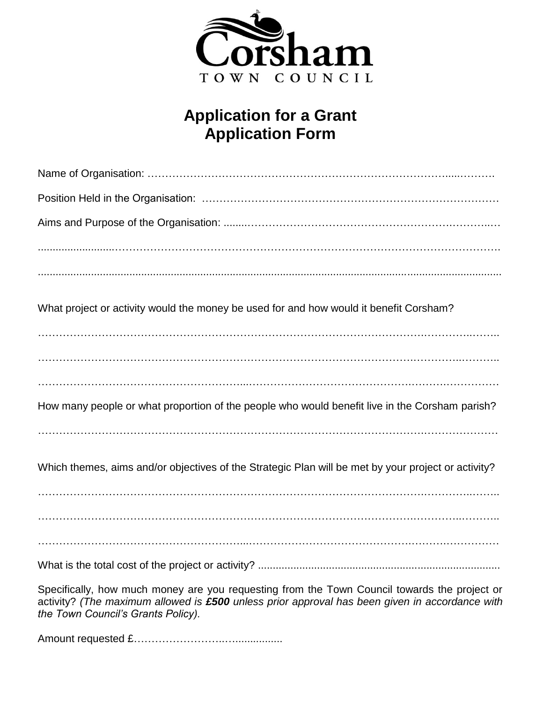

# **Application for a Grant Application Form**

| What project or activity would the money be used for and how would it benefit Corsham?                                                                                                                                               |
|--------------------------------------------------------------------------------------------------------------------------------------------------------------------------------------------------------------------------------------|
|                                                                                                                                                                                                                                      |
|                                                                                                                                                                                                                                      |
|                                                                                                                                                                                                                                      |
| How many people or what proportion of the people who would benefit live in the Corsham parish?                                                                                                                                       |
|                                                                                                                                                                                                                                      |
| Which themes, aims and/or objectives of the Strategic Plan will be met by your project or activity?                                                                                                                                  |
|                                                                                                                                                                                                                                      |
|                                                                                                                                                                                                                                      |
|                                                                                                                                                                                                                                      |
| Specifically, how much money are you requesting from the Town Council towards the project or<br>activity? (The maximum allowed is £500 unless prior approval has been given in accordance with<br>the Town Council's Grants Policy). |

Amount requested £……………………..…................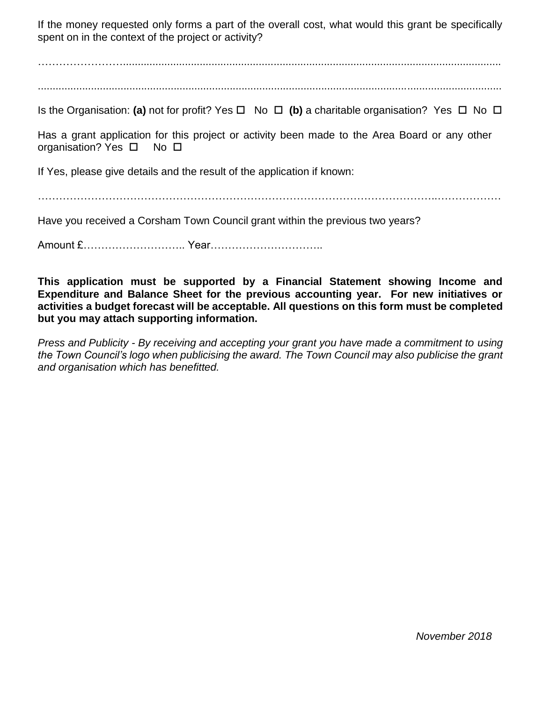If the money requested only forms a part of the overall cost, what would this grant be specifically spent on in the context of the project or activity?

……………………................................................................................................................................

.............................................................................................................................................................

Is the Organisation: (a) not for profit? Yes  $\Box$  No  $\Box$  (b) a charitable organisation? Yes  $\Box$  No  $\Box$ 

Has a grant application for this project or activity been made to the Area Board or any other organisation? Yes  $\square$  No  $\square$ 

If Yes, please give details and the result of the application if known:

…………………………………………………………………………………………………..………………

Have you received a Corsham Town Council grant within the previous two years?

Amount £……………………….. Year…………………………..

**This application must be supported by a Financial Statement showing Income and Expenditure and Balance Sheet for the previous accounting year. For new initiatives or activities a budget forecast will be acceptable. All questions on this form must be completed but you may attach supporting information.**

*Press and Publicity - By receiving and accepting your grant you have made a commitment to using the Town Council's logo when publicising the award. The Town Council may also publicise the grant and organisation which has benefitted.*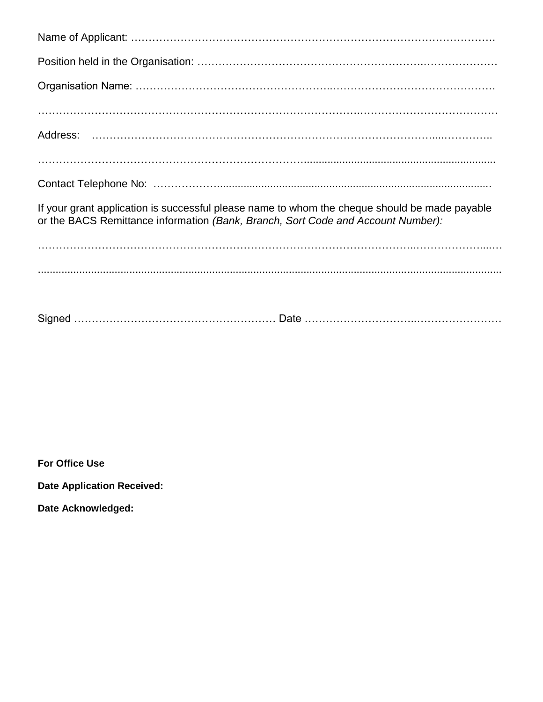| If your grant application is successful please name to whom the cheque should be made payable<br>or the BACS Remittance information (Bank, Branch, Sort Code and Account Number): |
|-----------------------------------------------------------------------------------------------------------------------------------------------------------------------------------|
|                                                                                                                                                                                   |
|                                                                                                                                                                                   |
|                                                                                                                                                                                   |

**For Office Use**

**Date Application Received:**

**Date Acknowledged:**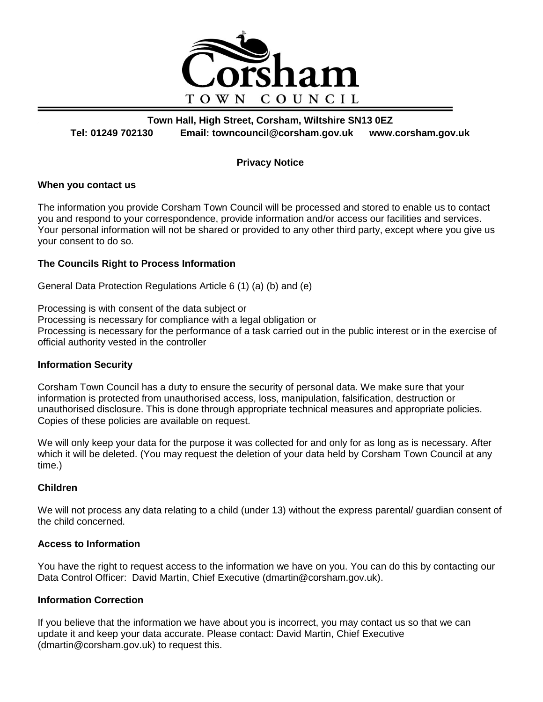

**Town Hall, High Street, Corsham, Wiltshire SN13 0EZ Tel: 01249 702130 Email: towncouncil@corsham.gov.uk www.corsham.gov.uk**

#### **Privacy Notice**

#### **When you contact us**

The information you provide Corsham Town Council will be processed and stored to enable us to contact you and respond to your correspondence, provide information and/or access our facilities and services. Your personal information will not be shared or provided to any other third party, except where you give us your consent to do so.

#### **The Councils Right to Process Information**

General Data Protection Regulations Article 6 (1) (a) (b) and (e)

Processing is with consent of the data subject or Processing is necessary for compliance with a legal obligation or Processing is necessary for the performance of a task carried out in the public interest or in the exercise of official authority vested in the controller

#### **Information Security**

Corsham Town Council has a duty to ensure the security of personal data. We make sure that your information is protected from unauthorised access, loss, manipulation, falsification, destruction or unauthorised disclosure. This is done through appropriate technical measures and appropriate policies. Copies of these policies are available on request.

We will only keep your data for the purpose it was collected for and only for as long as is necessary. After which it will be deleted. (You may request the deletion of your data held by Corsham Town Council at any time.)

### **Children**

We will not process any data relating to a child (under 13) without the express parental/ guardian consent of the child concerned.

#### **Access to Information**

You have the right to request access to the information we have on you. You can do this by contacting our Data Control Officer: David Martin, Chief Executive (dmartin@corsham.gov.uk).

#### **Information Correction**

If you believe that the information we have about you is incorrect, you may contact us so that we can update it and keep your data accurate. Please contact: David Martin, Chief Executive (dmartin@corsham.gov.uk) to request this.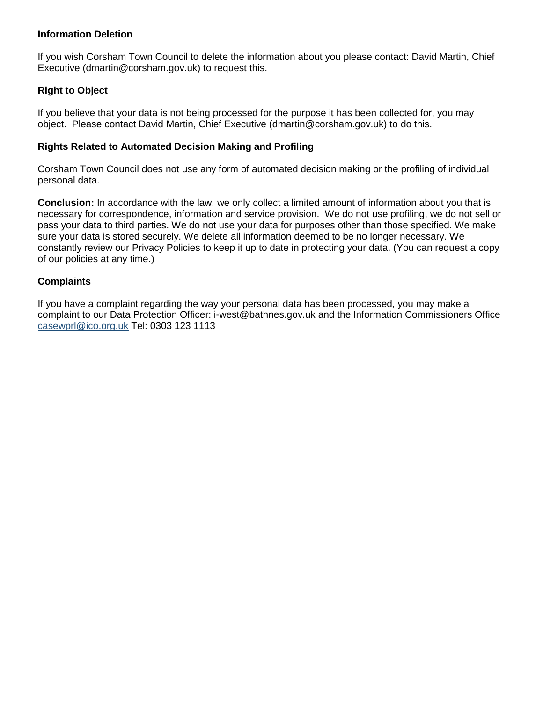#### **Information Deletion**

If you wish Corsham Town Council to delete the information about you please contact: David Martin, Chief Executive (dmartin@corsham.gov.uk) to request this.

#### **Right to Object**

If you believe that your data is not being processed for the purpose it has been collected for, you may object. Please contact David Martin, Chief Executive (dmartin@corsham.gov.uk) to do this.

#### **Rights Related to Automated Decision Making and Profiling**

Corsham Town Council does not use any form of automated decision making or the profiling of individual personal data.

**Conclusion:** In accordance with the law, we only collect a limited amount of information about you that is necessary for correspondence, information and service provision. We do not use profiling, we do not sell or pass your data to third parties. We do not use your data for purposes other than those specified. We make sure your data is stored securely. We delete all information deemed to be no longer necessary. We constantly review our Privacy Policies to keep it up to date in protecting your data. (You can request a copy of our policies at any time.)

#### **Complaints**

If you have a complaint regarding the way your personal data has been processed, you may make a complaint to our Data Protection Officer: i-west@bathnes.gov.uk and the Information Commissioners Office casewprl@ico.org.uk Tel: 0303 123 1113